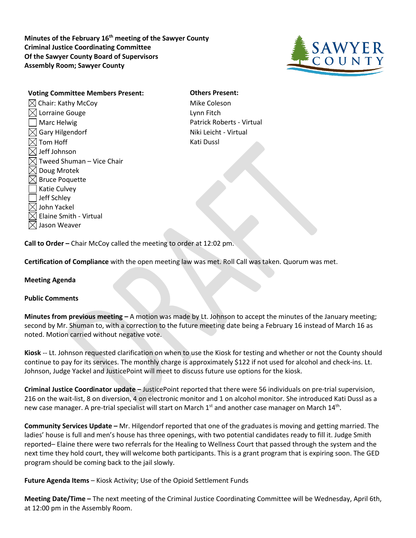**Minutes of the February 16th meeting of the Sawyer County Criminal Justice Coordinating Committee Of the Sawyer County Board of Supervisors Assembly Room; Sawyer County**



**Voting Committee Members Present: Others Present:**  $\boxtimes$  Chair: Kathy McCoy  $\blacksquare$  Mike Coleson  $\boxtimes$  Lorraine Gouge  $\Box$  Lynn Fitch Marc Helwig **Patrick Roberts - Virtual**  $\boxtimes$  Gary Hilgendorf  $\blacksquare$  $\boxtimes$  Tom Hoff  $\blacksquare$  $\boxtimes$  Jeff Johnson  $\boxtimes$  Tweed Shuman – Vice Chair  $\boxtimes$  Doug Mrotek  $\boxtimes$  Bruce Poquette Katie Culvey Jeff Schley  $\boxtimes$  John Yackel  $\boxtimes$  Elaine Smith - Virtual  $\boxtimes$  Jason Weaver

**Call to Order –** Chair McCoy called the meeting to order at 12:02 pm.

**Certification of Compliance** with the open meeting law was met. Roll Call was taken. Quorum was met.

## **Meeting Agenda**

## **Public Comments**

**Minutes from previous meeting –** A motion was made by Lt. Johnson to accept the minutes of the January meeting; second by Mr. Shuman to, with a correction to the future meeting date being a February 16 instead of March 16 as noted. Motion carried without negative vote.

**Kiosk** -- Lt. Johnson requested clarification on when to use the Kiosk for testing and whether or not the County should continue to pay for its services. The monthly charge is approximately \$122 if not used for alcohol and check-ins. Lt. Johnson, Judge Yackel and JusticePoint will meet to discuss future use options for the kiosk.

**Criminal Justice Coordinator update –** JusticePoint reported that there were 56 individuals on pre-trial supervision, 216 on the wait-list, 8 on diversion, 4 on electronic monitor and 1 on alcohol monitor. She introduced Kati Dussl as a new case manager. A pre-trial specialist will start on March  $1<sup>st</sup>$  and another case manager on March  $14<sup>th</sup>$ .

**Community Services Update –** Mr. Hilgendorf reported that one of the graduates is moving and getting married. The ladies' house is full and men's house has three openings, with two potential candidates ready to fill it. Judge Smith reported– Elaine there were two referrals for the Healing to Wellness Court that passed through the system and the next time they hold court, they will welcome both participants. This is a grant program that is expiring soon. The GED program should be coming back to the jail slowly.

**Future Agenda Items** – Kiosk Activity; Use of the Opioid Settlement Funds

**Meeting Date/Time –** The next meeting of the Criminal Justice Coordinating Committee will be Wednesday, April 6th, at 12:00 pm in the Assembly Room.